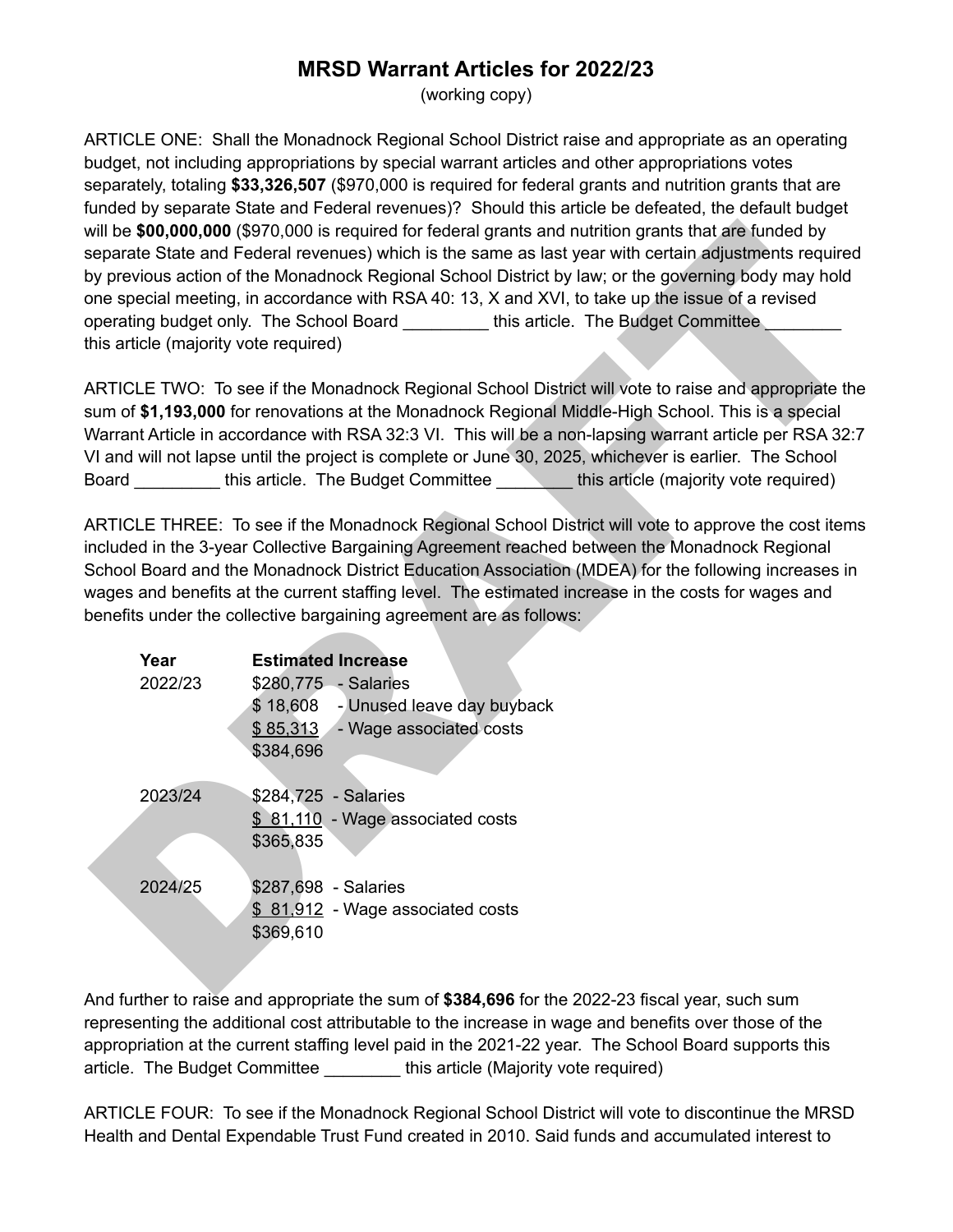## **MRSD Warrant Articles for 2022/23**

(working copy)

ARTICLE ONE: Shall the Monadnock Regional School District raise and appropriate as an operating budget, not including appropriations by special warrant articles and other appropriations votes separately, totaling **\$33,326,507** (\$970,000 is required for federal grants and nutrition grants that are funded by separate State and Federal revenues)? Should this article be defeated, the default budget will be **\$00,000,000** (\$970,000 is required for federal grants and nutrition grants that are funded by separate State and Federal revenues) which is the same as last year with certain adjustments required by previous action of the Monadnock Regional School District by law; or the governing body may hold one special meeting, in accordance with RSA 40: 13, X and XVI, to take up the issue of a revised operating budget only. The School Board \_\_\_\_\_\_\_\_\_\_ this article. The Budget Committee this article (majority vote required)

| his article (majority vote required) | will be \$00,000,000 (\$970,000 is required for federal grants and nutrition grants that are funded by<br>separate State and Federal revenues) which is the same as last year with certain adjustments required<br>by previous action of the Monadnock Regional School District by law; or the governing body may hold<br>one special meeting, in accordance with RSA 40: 13, X and XVI, to take up the issue of a revised<br>operating budget only. The School Board _________this article. The Budget Committee                |
|--------------------------------------|----------------------------------------------------------------------------------------------------------------------------------------------------------------------------------------------------------------------------------------------------------------------------------------------------------------------------------------------------------------------------------------------------------------------------------------------------------------------------------------------------------------------------------|
|                                      | ARTICLE TWO: To see if the Monadnock Regional School District will vote to raise and appropriate the<br>sum of \$1,193,000 for renovations at the Monadnock Regional Middle-High School. This is a special<br>Narrant Article in accordance with RSA 32:3 VI. This will be a non-lapsing warrant article per RSA 32:7<br>VI and will not lapse until the project is complete or June 30, 2025, whichever is earlier. The School<br>Board _________this article. The Budget Committee ______this article (majority vote required) |
|                                      | ARTICLE THREE: To see if the Monadnock Regional School District will vote to approve the cost items<br>ncluded in the 3-year Collective Bargaining Agreement reached between the Monadnock Regional<br>School Board and the Monadnock District Education Association (MDEA) for the following increases in<br>wages and benefits at the current staffing level. The estimated increase in the costs for wages and<br>benefits under the collective bargaining agreement are as follows:                                          |
| Year                                 | <b>Estimated Increase</b>                                                                                                                                                                                                                                                                                                                                                                                                                                                                                                        |
| 2022/23                              | \$280,775 - Salaries                                                                                                                                                                                                                                                                                                                                                                                                                                                                                                             |
|                                      | \$18,608 - Unused leave day buyback                                                                                                                                                                                                                                                                                                                                                                                                                                                                                              |
|                                      | \$85,313 - Wage associated costs                                                                                                                                                                                                                                                                                                                                                                                                                                                                                                 |
|                                      | \$384,696                                                                                                                                                                                                                                                                                                                                                                                                                                                                                                                        |
| 2023/24                              | \$284,725 - Salaries                                                                                                                                                                                                                                                                                                                                                                                                                                                                                                             |
|                                      | \$81,110 - Wage associated costs                                                                                                                                                                                                                                                                                                                                                                                                                                                                                                 |
|                                      | \$365,835                                                                                                                                                                                                                                                                                                                                                                                                                                                                                                                        |
| 2024/25                              | \$287,698 - Salaries                                                                                                                                                                                                                                                                                                                                                                                                                                                                                                             |
|                                      | \$81,912 - Wage associated costs                                                                                                                                                                                                                                                                                                                                                                                                                                                                                                 |
|                                      | \$369,610                                                                                                                                                                                                                                                                                                                                                                                                                                                                                                                        |
|                                      |                                                                                                                                                                                                                                                                                                                                                                                                                                                                                                                                  |
|                                      | $\mathbf{r}$ and $\mathbf{r}$ and $\mathbf{r}$ and $\mathbf{r}$ and $\mathbf{r}$ and $\mathbf{r}$ and $\mathbf{r}$ and $\mathbf{r}$ and $\mathbf{r}$ and $\mathbf{r}$ and $\mathbf{r}$ and $\mathbf{r}$ and $\mathbf{r}$ and $\mathbf{r}$ and $\mathbf{r}$ and $\mathbf{r}$ and $\mathbf{r}$ and                                                                                                                                                                                                                                 |

And further to raise and appropriate the sum of **\$384,696** for the 2022-23 fiscal year, such sum representing the additional cost attributable to the increase in wage and benefits over those of the appropriation at the current staffing level paid in the 2021-22 year. The School Board supports this article. The Budget Committee \_\_\_\_\_\_\_\_ this article (Majority vote required)

ARTICLE FOUR: To see if the Monadnock Regional School District will vote to discontinue the MRSD Health and Dental Expendable Trust Fund created in 2010. Said funds and accumulated interest to